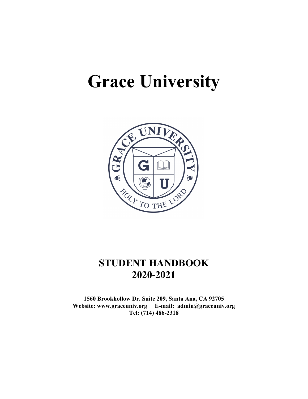# **Grace University**



## **STUDENT HANDBOOK 2020-2021**

**1560 Brookhollow Dr. Suite 209, Santa Ana, CA 92705 Website: www.graceuniv.org E-mail: admin@graceuniv.org Tel: (714) 486-2318**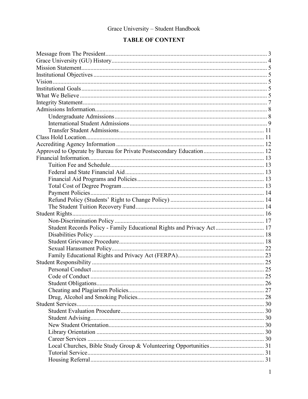## **TABLE OF CONTENT**

| Student Records Policy - Family Educational Rights and Privacy Act 17 |      |
|-----------------------------------------------------------------------|------|
|                                                                       |      |
|                                                                       |      |
|                                                                       |      |
|                                                                       |      |
|                                                                       |      |
|                                                                       |      |
|                                                                       | . 25 |
|                                                                       |      |
|                                                                       |      |
|                                                                       |      |
|                                                                       |      |
|                                                                       |      |
|                                                                       |      |
|                                                                       |      |
|                                                                       |      |
|                                                                       |      |
|                                                                       |      |
|                                                                       |      |
|                                                                       |      |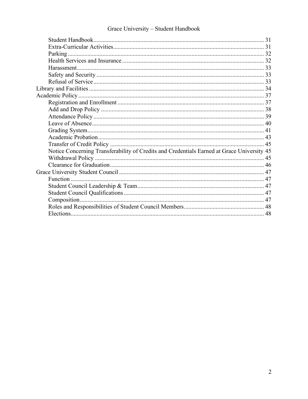| Notice Concerning Transferability of Credits and Credentials Earned at Grace University 45 |  |
|--------------------------------------------------------------------------------------------|--|
|                                                                                            |  |
|                                                                                            |  |
|                                                                                            |  |
|                                                                                            |  |
|                                                                                            |  |
|                                                                                            |  |
|                                                                                            |  |
|                                                                                            |  |
|                                                                                            |  |
|                                                                                            |  |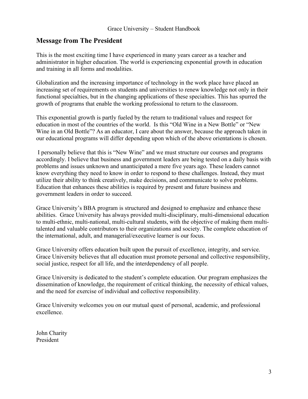## <span id="page-3-0"></span>**Message from The President**

This is the most exciting time I have experienced in many years career as a teacher and administrator in higher education. The world is experiencing exponential growth in education and training in all forms and modalities.

Globalization and the increasing importance of technology in the work place have placed an increasing set of requirements on students and universities to renew knowledge not only in their functional specialties, but in the changing applications of these specialties. This has spurred the growth of programs that enable the working professional to return to the classroom.

This exponential growth is partly fueled by the return to traditional values and respect for education in most of the countries of the world. Is this "Old Wine in a New Bottle" or "New Wine in an Old Bottle"? As an educator, I care about the answer, because the approach taken in our educational programs will differ depending upon which of the above orientations is chosen.

I personally believe that this is "New Wine" and we must structure our courses and programs accordingly. I believe that business and government leaders are being tested on a daily basis with problems and issues unknown and unanticipated a mere five years ago. These leaders cannot know everything they need to know in order to respond to these challenges. Instead, they must utilize their ability to think creatively, make decisions, and communicate to solve problems. Education that enhances these abilities is required by present and future business and government leaders in order to succeed.

Grace University's BBA program is structured and designed to emphasize and enhance these abilities. Grace University has always provided multi-disciplinary, multi-dimensional education to multi-ethnic, multi-national, multi-cultural students, with the objective of making them multitalented and valuable contributors to their organizations and society. The complete education of the international, adult, and managerial/executive learner is our focus.

Grace University offers education built upon the pursuit of excellence, integrity, and service. Grace University believes that all education must promote personal and collective responsibility, social justice, respect for all life, and the interdependency of all people.

Grace University is dedicated to the student's complete education. Our program emphasizes the dissemination of knowledge, the requirement of critical thinking, the necessity of ethical values, and the need for exercise of individual and collective responsibility.

Grace University welcomes you on our mutual quest of personal, academic, and professional excellence.

John Charity President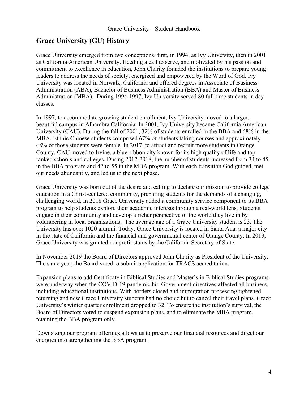## <span id="page-4-0"></span>**Grace University (GU) History**

Grace University emerged from two conceptions; first, in 1994, as Ivy University, then in 2001 as California American University. Heeding a call to serve, and motivated by his passion and commitment to excellence in education, John Charity founded the institutions to prepare young leaders to address the needs of society, energized and empowered by the Word of God. Ivy University was located in Norwalk, California and offered degrees in Associate of Business Administration (ABA), Bachelor of Business Administration (BBA) and Master of Business Administration (MBA). During 1994-1997, Ivy University served 80 full time students in day classes.

In 1997, to accommodate growing student enrollment, Ivy University moved to a larger, beautiful campus in Alhambra California. In 2001, Ivy University became California American University (CAU). During the fall of 2001, 32% of students enrolled in the BBA and 68% in the MBA. Ethnic Chinese students comprised 67% of students taking courses and approximately 48% of those students were female. In 2017, to attract and recruit more students in Orange County, CAU moved to Irvine, a blue-ribbon city known for its high quality of life and topranked schools and colleges. During 2017-2018, the number of students increased from 34 to 45 in the BBA program and 42 to 55 in the MBA program. With each transition God guided, met our needs abundantly, and led us to the next phase.

Grace University was born out of the desire and calling to declare our mission to provide college education in a Christ-centered community, preparing students for the demands of a changing, challenging world. In 2018 Grace University added a community service component to its BBA program to help students explore their academic interests through a real-world lens. Students engage in their community and develop a richer perspective of the world they live in by volunteering in local organizations. The average age of a Grace University student is 23. The University has over 1020 alumni. Today, Grace University is located in Santa Ana, a major city in the state of California and the financial and governmental center of Orange County. In 2019, Grace University was granted nonprofit status by the California Secretary of State.

In November 2019 the Board of Directors approved John Charity as President of the University. The same year, the Board voted to submit application for TRACS accreditation.

Expansion plans to add Certificate in Biblical Studies and Master's in Biblical Studies programs were underway when the COVID-19 pandemic hit. Government directives affected all business, including educational institutions. With borders closed and immigration processing tightened, returning and new Grace University students had no choice but to cancel their travel plans. Grace University's winter quarter enrollment dropped to 32. To ensure the institution's survival, the Board of Directors voted to suspend expansion plans, and to eliminate the MBA program, retaining the BBA program only.

Downsizing our program offerings allows us to preserve our financial resources and direct our energies into strengthening the BBA program.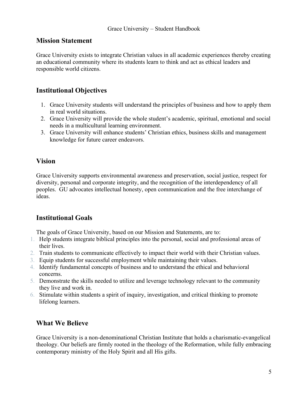## <span id="page-5-0"></span>**Mission Statement**

Grace University exists to integrate Christian values in all academic experiences thereby creating an educational community where its students learn to think and act as ethical leaders and responsible world citizens.

## <span id="page-5-1"></span>**Institutional Objectives**

- 1. Grace University students will understand the principles of business and how to apply them in real world situations.
- 2. Grace University will provide the whole student's academic, spiritual, emotional and social needs in a multicultural learning environment.
- 3. Grace University will enhance students' Christian ethics, business skills and management knowledge for future career endeavors.

## <span id="page-5-2"></span>**Vision**

Grace University supports environmental awareness and preservation, social justice, respect for diversity, personal and corporate integrity, and the recognition of the interdependency of all peoples. GU advocates intellectual honesty, open communication and the free interchange of ideas.

## <span id="page-5-3"></span>**Institutional Goals**

The goals of Grace University, based on our Mission and Statements, are to:

- 1. Help students integrate biblical principles into the personal, social and professional areas of their lives.
- 2. Train students to communicate effectively to impact their world with their Christian values.
- 3. Equip students for successful employment while maintaining their values.
- 4. Identify fundamental concepts of business and to understand the ethical and behavioral concerns.
- 5. Demonstrate the skills needed to utilize and leverage technology relevant to the community they live and work in.
- 6. Stimulate within students a spirit of inquiry, investigation, and critical thinking to promote lifelong learners.

## <span id="page-5-4"></span>**What We Believe**

Grace University is a non-denominational Christian Institute that holds a charismatic-evangelical theology. Our beliefs are firmly rooted in the theology of the Reformation, while fully embracing contemporary ministry of the Holy Spirit and all His gifts.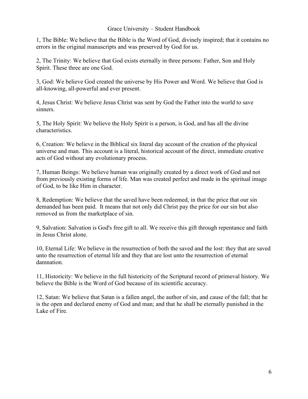1, The Bible: We believe that the Bible is the Word of God, divinely inspired; that it contains no errors in the original manuscripts and was preserved by God for us.

2, The Trinity: We believe that God exists eternally in three persons: Father, Son and Holy Spirit. These three are one God.

3, God: We believe God created the universe by His Power and Word. We believe that God is all-knowing, all-powerful and ever present.

4, Jesus Christ: We believe Jesus Christ was sent by God the Father into the world to save sinners.

5, The Holy Spirit: We believe the Holy Spirit is a person, is God, and has all the divine characteristics.

6, Creation: We believe in the Biblical six literal day account of the creation of the physical universe and man. This account is a literal, historical account of the direct, immediate creative acts of God without any evolutionary process.

7, Human Beings: We believe human was originally created by a direct work of God and not from previously existing forms of life. Man was created perfect and made in the spiritual image of God, to be like Him in character.

8, Redemption: We believe that the saved have been redeemed, in that the price that our sin demanded has been paid. It means that not only did Christ pay the price for our sin but also removed us from the marketplace of sin.

9, Salvation: Salvation is God's free gift to all. We receive this gift through repentance and faith in Jesus Christ alone.

10, Eternal Life: We believe in the resurrection of both the saved and the lost: they that are saved unto the resurrection of eternal life and they that are lost unto the resurrection of eternal damnation.

11, Historicity: We believe in the full historicity of the Scriptural record of primeval history. We believe the Bible is the Word of God because of its scientific accuracy.

12, Satan: We believe that Satan is a fallen angel, the author of sin, and cause of the fall; that he is the open and declared enemy of God and man; and that he shall be eternally punished in the Lake of Fire.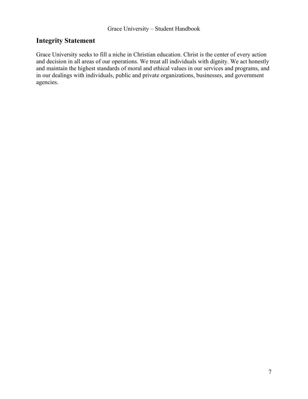## <span id="page-7-0"></span>**Integrity Statement**

Grace University seeks to fill a niche in Christian education. Christ is the center of every action and decision in all areas of our operations. We treat all individuals with dignity. We act honestly and maintain the highest standards of moral and ethical values in our services and programs, and in our dealings with individuals, public and private organizations, businesses, and government agencies.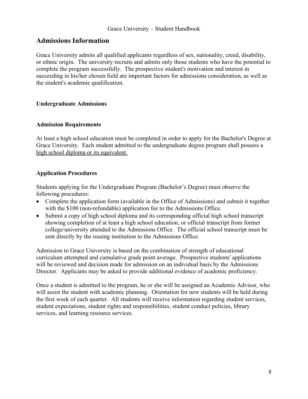## <span id="page-8-0"></span>**Admissions Information**

Grace University admits all qualified applicants regardless of sex, nationality, creed, disability, or ethnic origin. The university recruits and admits only those students who have the potential to complete the program successfully. The prospective student's motivation and interest in succeeding in his/her chosen field are important factors for admissions consideration, as well as the student's academic qualification.

#### <span id="page-8-1"></span>**Undergraduate Admissions**

#### **Admission Requirements**

At least a high school education must be completed in order to apply for the Bachelor's Degree at Grace University. Each student admitted to the undergraduate degree program shall possess a high school diploma or its equivalent.

#### **Application Procedures**

Students applying for the Undergraduate Program (Bachelor's Degree) must observe the following procedures:

- Complete the application form (available in the Office of Admissions) and submit it together with the \$100 (non-refundable) application fee to the Admissions Office.
- Submit a copy of high school diploma and its corresponding official high school transcript showing completion of at least a high school education, or official transcript from former college/university attended to the Admissions Office. The official school transcript must be sent directly by the issuing institution to the Admissions Office.

Admission to Grace University is based on the combination of strength of educational curriculum attempted and cumulative grade point average. Prospective students' applications will be reviewed and decision made for admission on an individual basis by the Admissions Director. Applicants may be asked to provide additional evidence of academic proficiency.

Once a student is admitted to the program, he or she will be assigned an Academic Advisor, who will assist the student with academic planning. Orientation for new students will be held during the first week of each quarter. All students will receive information regarding student services, student expectations, student rights and responsibilities, student conduct policies, library services, and learning resource services.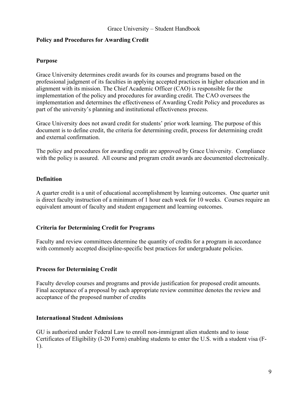#### **Policy and Procedures for Awarding Credit**

#### **Purpose**

Grace University determines credit awards for its courses and programs based on the professional judgment of its faculties in applying accepted practices in higher education and in alignment with its mission. The Chief Academic Officer (CAO) is responsible for the implementation of the policy and procedures for awarding credit. The CAO oversees the implementation and determines the effectiveness of Awarding Credit Policy and procedures as part of the university's planning and institutional effectiveness process.

Grace University does not award credit for students' prior work learning. The purpose of this document is to define credit, the criteria for determining credit, process for determining credit and external confirmation.

The policy and procedures for awarding credit are approved by Grace University. Compliance with the policy is assured. All course and program credit awards are documented electronically.

#### **Definition**

A quarter credit is a unit of educational accomplishment by learning outcomes. One quarter unit is direct faculty instruction of a minimum of 1 hour each week for 10 weeks. Courses require an equivalent amount of faculty and student engagement and learning outcomes.

#### **Criteria for Determining Credit for Programs**

Faculty and review committees determine the quantity of credits for a program in accordance with commonly accepted discipline-specific best practices for undergraduate policies.

#### **Process for Determining Credit**

Faculty develop courses and programs and provide justification for proposed credit amounts. Final acceptance of a proposal by each appropriate review committee denotes the review and acceptance of the proposed number of credits

#### <span id="page-9-0"></span>**International Student Admissions**

GU is authorized under Federal Law to enroll non-immigrant alien students and to issue Certificates of Eligibility (I-20 Form) enabling students to enter the U.S. with a student visa (F-1).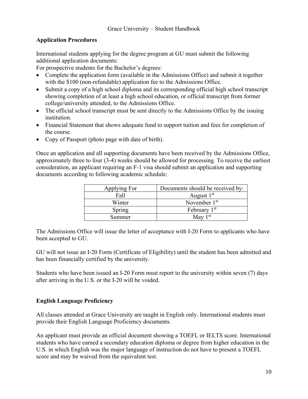## **Application Procedures**

International students applying for the degree program at GU must submit the following additional application documents:

For prospective students for the Bachelor's degrees:

- Complete the application form (available in the Admissions Office) and submit it together with the \$100 (non-refundable) application fee to the Admissions Office.
- Submit a copy of a high school diploma and its corresponding official high school transcript showing completion of at least a high school education, or official transcript from former college/university attended, to the Admissions Office.
- The official school transcript must be sent directly to the Admissions Office by the issuing institution.
- Financial Statement that shows adequate fund to support tuition and fees for completion of the course.
- Copy of Passport (photo page with date of birth).

Once an application and all supporting documents have been received by the Admissions Office, approximately three to four (3-4) weeks should be allowed for processing. To receive the earliest consideration, an applicant requiring an F-1 visa should submit an application and supporting documents according to following academic schedule:

| Applying For | Documents should be received by: |
|--------------|----------------------------------|
| Fall         | August $1st$                     |
| Winter       | November $1st$                   |
| Spring       | February $1st$                   |
| Summer       | May $1st$                        |

The Admissions Office will issue the letter of acceptance with I-20 Form to applicants who have been accepted to GU.

GU will not issue an I-20 Form (Certificate of Eligibility) until the student has been admitted and has been financially certified by the university.

Students who have been issued an I-20 Form must report to the university within seven (7) days after arriving in the U.S. or the I-20 will be voided.

#### **English Language Proficiency**

All classes attended at Grace University are taught in English only. International students must provide their English Language Proficiency documents.

An applicant must provide an official document showing a TOEFL or IELTS score. International students who have earned a secondary education diploma or degree from higher education in the U.S. in which English was the major language of instruction do not have to present a TOEFL score and may be waived from the equivalent test.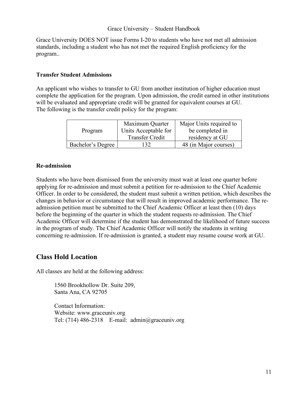Grace University DOES NOT issue Forms I-20 to students who have not met all admission standards, including a student who has not met the required English proficiency for the program..

#### <span id="page-11-0"></span>**Transfer Student Admissions**

An applicant who wishes to transfer to GU from another institution of higher education must complete the application for the program. Upon admission, the credit earned in other institutions will be evaluated and appropriate credit will be granted for equivalent courses at GU. The following is the transfer credit policy for the program:

|                   | Maximum Quarter        | Major Units required to |  |
|-------------------|------------------------|-------------------------|--|
| Program           | Units Acceptable for   | be completed in         |  |
|                   | <b>Transfer Credit</b> | residency at GU         |  |
| Bachelor's Degree | 32                     | 48 (in Major courses)   |  |

#### **Re-admission**

Students who have been dismissed from the university must wait at least one quarter before applying for re-admission and must submit a petition for re-admission to the Chief Academic Officer. In order to be considered, the student must submit a written petition, which describes the changes in behavior or circumstance that will result in improved academic performance. The readmission petition must be submitted to the Chief Academic Officer at least then (10) days before the beginning of the quarter in which the student requests re-admission. The Chief Academic Officer will determine if the student has demonstrated the likelihood of future success in the program of study. The Chief Academic Officer will notify the students in writing concerning re-admission. If re-admission is granted, a student may resume course work at GU.

## <span id="page-11-1"></span>**Class Hold Location**

All classes are held at the following address:

1560 Brookhollow Dr. Suite 209, Santa Ana, CA 92705

Contact Information: Website: www.graceuniv.org Tel: (714) 486-2318 E-mail:  $\text{admin}(\partial \text{gracenniv.org})$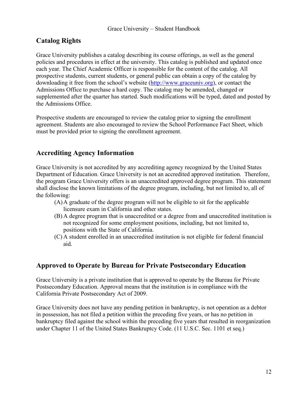## **Catalog Rights**

Grace University publishes a catalog describing its course offerings, as well as the general policies and procedures in effect at the university. This catalog is published and updated once each year. The Chief Academic Officer is responsible for the content of the catalog. All prospective students, current students, or general public can obtain a copy of the catalog by downloading it free from the school's website [\(http://www.graceuniv.org\)](http://www.graceuniv.org/), or contact the Admissions Office to purchase a hard copy. The catalog may be amended, changed or supplemented after the quarter has started. Such modifications will be typed, dated and posted by the Admissions Office.

Prospective students are encouraged to review the catalog prior to signing the enrollment agreement. Students are also encouraged to review the School Performance Fact Sheet, which must be provided prior to signing the enrollment agreement.

## <span id="page-12-0"></span>**Accrediting Agency Information**

Grace University is not accredited by any accrediting agency recognized by the United States Department of Education. Grace University is not an accredited approved institution. Therefore, the program Grace University offers is an unaccredited approved degree program. This statement shall disclose the known limitations of the degree program, including, but not limited to, all of the following:

- (A)A graduate of the degree program will not be eligible to sit for the applicable licensure exam in California and other states.
- (B) A degree program that is unaccredited or a degree from and unaccredited institution is not recognized for some employment positions, including, but not limited to, positions with the State of California.
- (C) A student enrolled in an unaccredited institution is not eligible for federal financial aid.

## <span id="page-12-1"></span>**Approved to Operate by Bureau for Private Postsecondary Education**

Grace University is a private institution that is approved to operate by the Bureau for Private Postsecondary Education. Approval means that the institution is in compliance with the California Private Postsecondary Act of 2009.

Grace University does not have any pending petition in bankruptcy, is not operation as a debtor in possession, has not filed a petition within the preceding five years, or has no petition in bankruptcy filed against the school within the preceding five years that resulted in reorganization under Chapter 11 of the United States Bankruptcy Code. (11 U.S.C. Sec. 1101 et seq.)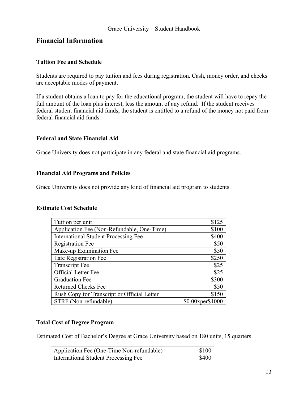## <span id="page-13-0"></span>**Financial Information**

#### <span id="page-13-1"></span>**Tuition Fee and Schedule**

Students are required to pay tuition and fees during registration. Cash, money order, and checks are acceptable modes of payment.

If a student obtains a loan to pay for the educational program, the student will have to repay the full amount of the loan plus interest, less the amount of any refund. If the student receives federal student financial aid funds, the student is entitled to a refund of the money not paid from federal financial aid funds.

#### <span id="page-13-2"></span>**Federal and State Financial Aid**

Grace University does not participate in any federal and state financial aid programs.

#### <span id="page-13-3"></span>**Financial Aid Programs and Policies**

Grace University does not provide any kind of financial aid program to students.

#### **Estimate Cost Schedule**

| Tuition per unit                            | \$125            |
|---------------------------------------------|------------------|
| Application Fee (Non-Refundable, One-Time)  | \$100            |
| <b>International Student Processing Fee</b> | \$400            |
| <b>Registration Fee</b>                     | \$50             |
| Make-up Examination Fee                     | \$50             |
| Late Registration Fee                       | \$250            |
| <b>Transcript Fee</b>                       | \$25             |
| Official Letter Fee                         | \$25             |
| <b>Graduation Fee</b>                       | \$300            |
| <b>Returned Checks Fee</b>                  | \$50             |
| Rush Copy for Transcript or Official Letter | \$150            |
| STRF (Non-refundable)                       | \$0.00xper\$1000 |

#### <span id="page-13-4"></span>**Total Cost of Degree Program**

Estimated Cost of Bachelor's Degree at Grace University based on 180 units, 15 quarters.

| Application Fee (One-Time Non-refundable) | \$100 |
|-------------------------------------------|-------|
| International Student Processing Fee      | \$400 |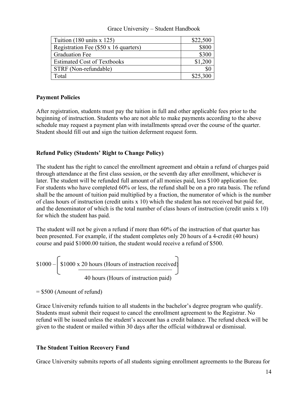| Tuition $(180 \text{ units} \times 125)$     | \$22,500 |
|----------------------------------------------|----------|
| Registration Fee $(\$50 \times 16$ quarters) | \$800    |
| <b>Graduation Fee</b>                        | \$300    |
| <b>Estimated Cost of Textbooks</b>           | \$1,200  |
| STRF (Non-refundable)                        |          |
| Fotal                                        | \$25,300 |

#### <span id="page-14-0"></span>**Payment Policies**

After registration, students must pay the tuition in full and other applicable fees prior to the beginning of instruction. Students who are not able to make payments according to the above schedule may request a payment plan with installments spread over the course of the quarter. Student should fill out and sign the tuition deferment request form.

## <span id="page-14-1"></span>**Refund Policy (Students' Right to Change Policy)**

The student has the right to cancel the enrollment agreement and obtain a refund of charges paid through attendance at the first class session, or the seventh day after enrollment, whichever is later. The student will be refunded full amount of all monies paid, less \$100 application fee. For students who have completed 60% or less, the refund shall be on a pro rata basis. The refund shall be the amount of tuition paid multiplied by a fraction, the numerator of which is the number of class hours of instruction (credit units x 10) which the student has not received but paid for, and the denominator of which is the total number of class hours of instruction (credit units x 10) for which the student has paid.

The student will not be given a refund if more than 60% of the instruction of that quarter has been presented. For example, if the student completes only 20 hours of a 4-credit (40 hours) course and paid \$1000.00 tuition, the student would receive a refund of \$500.

 $$1000 - $1000 \times 20$  hours (Hours of instruction received) 40 hours (Hours of instruction paid)

 $= $500$  (Amount of refund)

Grace University refunds tuition to all students in the bachelor's degree program who qualify. Students must submit their request to cancel the enrollment agreement to the Registrar. No refund will be issued unless the student's account has a credit balance. The refund check will be given to the student or mailed within 30 days after the official withdrawal or dismissal.

#### <span id="page-14-2"></span>**The Student Tuition Recovery Fund**

Grace University submits reports of all students signing enrollment agreements to the Bureau for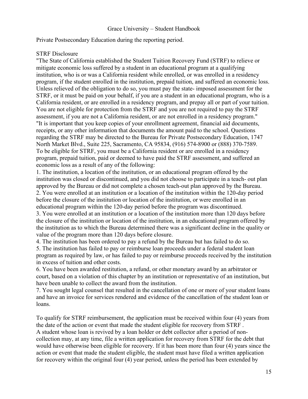Private Postsecondary Education during the reporting period.

#### STRF Disclosure

"The State of California established the Student Tuition Recovery Fund (STRF) to relieve or mitigate economic loss suffered by a student in an educational program at a qualifying institution, who is or was a California resident while enrolled, or was enrolled in a residency program, if the student enrolled in the institution, prepaid tuition, and suffered an economic loss. Unless relieved of the obligation to do so, you must pay the state- imposed assessment for the STRF, or it must be paid on your behalf, if you are a student in an educational program, who is a California resident, or are enrolled in a residency program, and prepay all or part of your tuition. You are not eligible for protection from the STRF and you are not required to pay the STRF assessment, if you are not a California resident, or are not enrolled in a residency program." "It is important that you keep copies of your enrollment agreement, financial aid documents, receipts, or any other information that documents the amount paid to the school. Questions regarding the STRF may be directed to the Bureau for Private Postsecondary Education, 1747 North Market Blvd., Suite 225, Sacramento, CA 95834, (916) 574-8900 or (888) 370-7589. To be eligible for STRF, you must be a California resident or are enrolled in a residency program, prepaid tuition, paid or deemed to have paid the STRF assessment, and suffered an economic loss as a result of any of the following:

1. The institution, a location of the institution, or an educational program offered by the institution was closed or discontinued, and you did not choose to participate in a teach- out plan approved by the Bureau or did not complete a chosen teach-out plan approved by the Bureau. 2. You were enrolled at an institution or a location of the institution within the 120-day period before the closure of the institution or location of the institution, or were enrolled in an educational program within the 120-day period before the program was discontinued. 3. You were enrolled at an institution or a location of the institution more than 120 days before the closure of the institution or location of the institution, in an educational program offered by the institution as to which the Bureau determined there was a significant decline in the quality or value of the program more than 120 days before closure.

4. The institution has been ordered to pay a refund by the Bureau but has failed to do so.

5. The institution has failed to pay or reimburse loan proceeds under a federal student loan program as required by law, or has failed to pay or reimburse proceeds received by the institution in excess of tuition and other costs.

6. You have been awarded restitution, a refund, or other monetary award by an arbitrator or court, based on a violation of this chapter by an institution or representative of an institution, but have been unable to collect the award from the institution.

7. You sought legal counsel that resulted in the cancellation of one or more of your student loans and have an invoice for services rendered and evidence of the cancellation of the student loan or loans.

To qualify for STRF reimbursement, the application must be received within four (4) years from the date of the action or event that made the student eligible for recovery from STRF . A student whose loan is revived by a loan holder or debt collector after a period of noncollection may, at any time, file a written application for recovery from STRF for the debt that would have otherwise been eligible for recovery. If it has been more than four (4) years since the action or event that made the student eligible, the student must have filed a written application for recovery within the original four (4) year period, unless the period has been extended by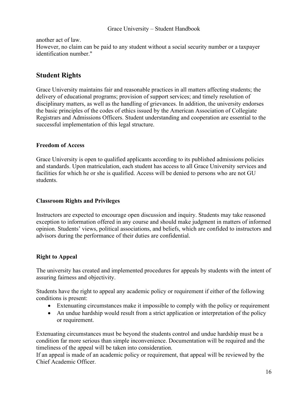#### another act of law.

However, no claim can be paid to any student without a social security number or a taxpayer identification number."

## <span id="page-16-0"></span>**Student Rights**

Grace University maintains fair and reasonable practices in all matters affecting students; the delivery of educational programs; provision of support services; and timely resolution of disciplinary matters, as well as the handling of grievances. In addition, the university endorses the basic principles of the codes of ethics issued by the American Association of Collegiate Registrars and Admissions Officers. Student understanding and cooperation are essential to the successful implementation of this legal structure.

#### **Freedom of Access**

Grace University is open to qualified applicants according to its published admissions policies and standards. Upon matriculation, each student has access to all Grace University services and facilities for which he or she is qualified. Access will be denied to persons who are not GU students.

#### **Classroom Rights and Privileges**

Instructors are expected to encourage open discussion and inquiry. Students may take reasoned exception to information offered in any course and should make judgment in matters of informed opinion. Students' views, political associations, and beliefs, which are confided to instructors and advisors during the performance of their duties are confidential.

#### **Right to Appeal**

The university has created and implemented procedures for appeals by students with the intent of assuring fairness and objectivity.

Students have the right to appeal any academic policy or requirement if either of the following conditions is present:

- Extenuating circumstances make it impossible to comply with the policy or requirement
- An undue hardship would result from a strict application or interpretation of the policy or requirement.

Extenuating circumstances must be beyond the students control and undue hardship must be a condition far more serious than simple inconvenience. Documentation will be required and the timeliness of the appeal will be taken into consideration.

If an appeal is made of an academic policy or requirement, that appeal will be reviewed by the Chief Academic Officer.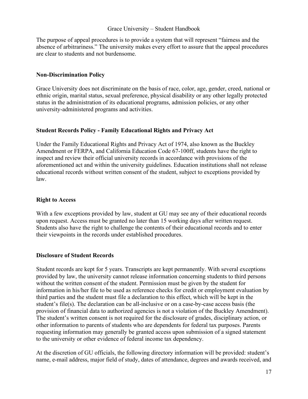The purpose of appeal procedures is to provide a system that will represent "fairness and the absence of arbitrariness." The university makes every effort to assure that the appeal procedures are clear to students and not burdensome.

#### <span id="page-17-0"></span>**Non-Discrimination Policy**

Grace University does not discriminate on the basis of race, color, age, gender, creed, national or ethnic origin, marital status, sexual preference, physical disability or any other legally protected status in the administration of its educational programs, admission policies, or any other university-administered programs and activities.

#### <span id="page-17-1"></span>**Student Records Policy - Family Educational Rights and Privacy Act**

Under the Family Educational Rights and Privacy Act of 1974, also known as the Buckley Amendment or FERPA, and California Education Code 67-100ff, students have the right to inspect and review their official university records in accordance with provisions of the aforementioned act and within the university guidelines. Education institutions shall not release educational records without written consent of the student, subject to exceptions provided by law.

#### **Right to Access**

With a few exceptions provided by law, student at GU may see any of their educational records upon request. Access must be granted no later than 15 working days after written request. Students also have the right to challenge the contents of their educational records and to enter their viewpoints in the records under established procedures.

#### **Disclosure of Student Records**

Student records are kept for 5 years. Transcripts are kept permanently. With several exceptions provided by law, the university cannot release information concerning students to third persons without the written consent of the student. Permission must be given by the student for information in his/her file to be used as reference checks for credit or employment evaluation by third parties and the student must file a declaration to this effect, which will be kept in the student's file(s). The declaration can be all-inclusive or on a case-by-case access basis (the provision of financial data to authorized agencies is not a violation of the Buckley Amendment). The student's written consent is not required for the disclosure of grades, disciplinary action, or other information to parents of students who are dependents for federal tax purposes. Parents requesting information may generally be granted access upon submission of a signed statement to the university or other evidence of federal income tax dependency.

At the discretion of GU officials, the following directory information will be provided: student's name, e-mail address, major field of study, dates of attendance, degrees and awards received, and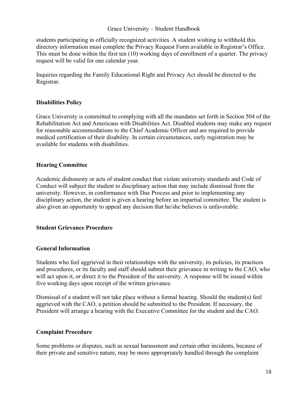students participating in officially recognized activities. A student wishing to withhold this directory information must complete the Privacy Request Form available in Registrar's Office. This must be done within the first ten (10) working days of enrollment of a quarter. The privacy request will be valid for one calendar year.

Inquiries regarding the Family Educational Right and Privacy Act should be directed to the Registrar.

#### <span id="page-18-0"></span>**Disabilities Policy**

Grace University is committed to complying with all the mandates set forth in Section 504 of the Rehabilitation Act and Americans with Disabilities Act. Disabled students may make any request for reasonable accommodations to the Chief Academic Officer and are required to provide medical certification of their disability. In certain circumstances, early registration may be available for students with disabilities.

#### **Hearing Committee**

Academic dishonesty or acts of student conduct that violate university standards and Code of Conduct will subject the student to disciplinary action that may include dismissal from the university. However, in conformance with Due Process and prior to implementing any disciplinary action, the student is given a hearing before an impartial committee. The student is also given an opportunity to appeal any decision that he/she believes is unfavorable.

#### <span id="page-18-1"></span>**Student Grievance Procedure**

#### **General Information**

Students who feel aggrieved in their relationships with the university, its policies, its practices and procedures, or its faculty and staff should submit their grievance in writing to the CAO, who will act upon it, or direct it to the President of the university. A response will be issued within five working days upon receipt of the written grievance.

Dismissal of a student will not take place without a formal hearing. Should the student(s) feel aggrieved with the CAO, a petition should be submitted to the President. If necessary, the President will arrange a hearing with the Executive Committee for the student and the CAO.

#### **Complaint Procedure**

Some problems or disputes, such as sexual harassment and certain other incidents, because of their private and sensitive nature, may be more appropriately handled through the complaint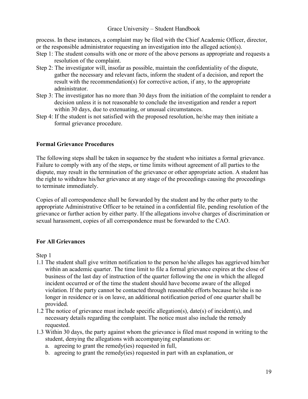process. In these instances, a complaint may be filed with the Chief Academic Officer, director, or the responsible administrator requesting an investigation into the alleged action(s).

- Step 1: The student consults with one or more of the above persons as appropriate and requests a resolution of the complaint.
- Step 2: The investigator will, insofar as possible, maintain the confidentiality of the dispute, gather the necessary and relevant facts, inform the student of a decision, and report the result with the recommendation(s) for corrective action, if any, to the appropriate administrator.
- Step 3: The investigator has no more than 30 days from the initiation of the complaint to render a decision unless it is not reasonable to conclude the investigation and render a report within 30 days, due to extenuating, or unusual circumstances.
- Step 4: If the student is not satisfied with the proposed resolution, he/she may then initiate a formal grievance procedure.

#### **Formal Grievance Procedures**

The following steps shall be taken in sequence by the student who initiates a formal grievance. Failure to comply with any of the steps, or time limits without agreement of all parties to the dispute, may result in the termination of the grievance or other appropriate action. A student has the right to withdraw his/her grievance at any stage of the proceedings causing the proceedings to terminate immediately.

Copies of all correspondence shall be forwarded by the student and by the other party to the appropriate Administrative Officer to be retained in a confidential file, pending resolution of the grievance or further action by either party. If the allegations involve charges of discrimination or sexual harassment, copies of all correspondence must be forwarded to the CAO.

#### **For All Grievances**

Step 1

- 1.1 The student shall give written notification to the person he/she alleges has aggrieved him/her within an academic quarter. The time limit to file a formal grievance expires at the close of business of the last day of instruction of the quarter following the one in which the alleged incident occurred or of the time the student should have become aware of the alleged violation. If the party cannot be contacted through reasonable efforts because he/she is no longer in residence or is on leave, an additional notification period of one quarter shall be provided.
- 1.2 The notice of grievance must include specific allegation(s), date(s) of incident(s), and necessary details regarding the complaint. The notice must also include the remedy requested.
- 1.3 Within 30 days, the party against whom the grievance is filed must respond in writing to the student, denying the allegations with accompanying explanations or:
	- a. agreeing to grant the remedy(ies) requested in full,
	- b. agreeing to grant the remedy(ies) requested in part with an explanation, or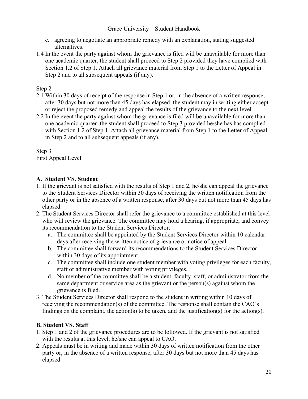- c. agreeing to negotiate an appropriate remedy with an explanation, stating suggested alternatives.
- 1.4 In the event the party against whom the grievance is filed will be unavailable for more than one academic quarter, the student shall proceed to Step 2 provided they have complied with Section 1.2 of Step 1. Attach all grievance material from Step 1 to the Letter of Appeal in Step 2 and to all subsequent appeals (if any).

#### Step 2

- 2.1 Within 30 days of receipt of the response in Step 1 or, in the absence of a written response, after 30 days but not more than 45 days has elapsed, the student may in writing either accept or reject the proposed remedy and appeal the results of the grievance to the next level.
- 2.2 In the event the party against whom the grievance is filed will be unavailable for more than one academic quarter, the student shall proceed to Step 3 provided he/she has has complied with Section 1.2 of Step 1. Attach all grievance material from Step 1 to the Letter of Appeal in Step 2 and to all subsequent appeals (if any).

Step 3 First Appeal Level

#### **A. Student VS. Student**

- 1. If the grievant is not satisfied with the results of Step 1 and 2, he/she can appeal the grievance to the Student Services Director within 30 days of receiving the written notification from the other party or in the absence of a written response, after 30 days but not more than 45 days has elapsed.
- 2. The Student Services Director shall refer the grievance to a committee established at this level who will review the grievance. The committee may hold a hearing, if appropriate, and convey its recommendation to the Student Services Director.
	- a. The committee shall be appointed by the Student Services Director within 10 calendar days after receiving the written notice of grievance or notice of appeal.
	- b. The committee shall forward its recommendations to the Student Services Director within 30 days of its appointment.
	- c. The committee shall include one student member with voting privileges for each faculty, staff or administrative member with voting privileges.
	- d. No member of the committee shall be a student, faculty, staff, or administrator from the same department or service area as the grievant or the person(s) against whom the grievance is filed.
- 3. The Student Services Director shall respond to the student in writing within 10 days of receiving the recommendation(s) of the committee. The response shall contain the CAO's findings on the complaint, the action(s) to be taken, and the justification(s) for the action(s).

#### **B. Student VS. Staff**

- 1. Step 1 and 2 of the grievance procedures are to be followed. If the grievant is not satisfied with the results at this level, he/she can appeal to CAO.
- 2. Appeals must be in writing and made within 30 days of written notification from the other party or, in the absence of a written response, after 30 days but not more than 45 days has elapsed.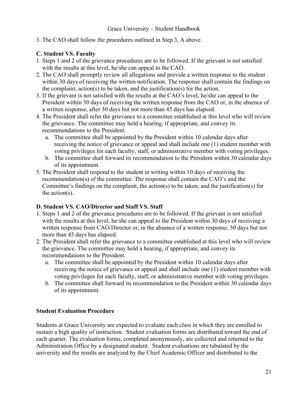3. The CAO shall follow the procedures outlined in Step 3, A above.

#### **C. Student VS. Faculty**

- 1. Steps 1 and 2 of the grievance procedures are to be followed. If the grievant is not satisfied with the results at this level, he/she can appeal to the CAO.
- 2. The CAO shall promptly review all allegations and provide a written response to the student within 30 days of receiving the written notification. The response shall contain the findings on the complaint, action(s) to be taken, and the justification(s) for the action.
- 3. If the grievant is not satisfied with the results at the CAO's level, he/she can appeal to the President within 30 days of receiving the written response from the CAO or, in the absence of a written response, after 30 days but not more than 45 days has elapsed.
- 4. The President shall refer the grievance to a committee established at this level who will review the grievance. The committee may hold a hearing, if appropriate, and convey its recommendations to the President.
	- a. The committee shall be appointed by the President within 10 calendar days after receiving the notice of grievance or appeal and shall include one (1) student member with voting privileges for each faculty, staff, or administrative member with voting privileges.
	- b. The committee shall forward its recommendation to the President within 30 calendar days of its appointment.
- 5. The President shall respond to the student in writing within 10 days of receiving the recommendation(s) of the committee. The response shall contain the CAO's and the Committee's findings on the complaint, the action(s) to be taken, and the justification(s) for the action(s).

#### **D. Student VS. CAO/Director and Staff VS. Staff**

- 1. Steps 1 and 2 of the grievance procedures are to be followed. If the grievant is not satisfied with the results at this level, he/she can appeal to the President within 30 days of receiving a written response from CAO/Director or, in the absence of a written response, 30 days but not more than 45 days has elapsed.
- 2. The President shall refer the grievance to a committee established at this level who will review the grievance. The committee may hold a hearing, if appropriate, and convey its recommendations to the President.
	- a. The committee shall be appointed by the President within 10 calendar days after receiving the notice of grievance or appeal and shall include one (1) student member with voting privileges for each faculty, staff, or administrative member with voting privileges.
	- b. The committee shall forward its recommendation to the President within 30 calendar days of its appointment.

#### **Student Evaluation Procedure**

Students at Grace University are expected to evaluate each class in which they are enrolled to sustain a high quality of instruction. Student evaluation forms are distributed toward the end of each quarter. The evaluation forms, completed anonymously, are collected and returned to the Administration Office by a designated student. Student evaluations are tabulated by the university and the results are analyzed by the Chief Academic Officer and distributed to the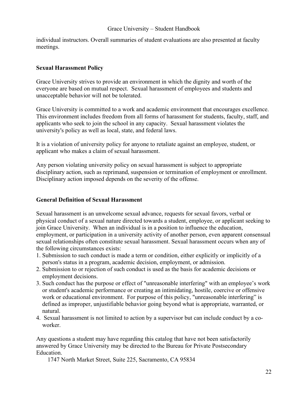individual instructors. Overall summaries of student evaluations are also presented at faculty meetings.

#### <span id="page-22-0"></span>**Sexual Harassment Policy**

Grace University strives to provide an environment in which the dignity and worth of the everyone are based on mutual respect. Sexual harassment of employees and students and unacceptable behavior will not be tolerated.

Grace University is committed to a work and academic environment that encourages excellence. This environment includes freedom from all forms of harassment for students, faculty, staff, and applicants who seek to join the school in any capacity. Sexual harassment violates the university's policy as well as local, state, and federal laws.

It is a violation of university policy for anyone to retaliate against an employee, student, or applicant who makes a claim of sexual harassment.

Any person violating university policy on sexual harassment is subject to appropriate disciplinary action, such as reprimand, suspension or termination of employment or enrollment. Disciplinary action imposed depends on the severity of the offense.

#### **General Definition of Sexual Harassment**

Sexual harassment is an unwelcome sexual advance, requests for sexual favors, verbal or physical conduct of a sexual nature directed towards a student, employee, or applicant seeking to join Grace University. When an individual is in a position to influence the education, employment, or participation in a university activity of another person, even apparent consensual sexual relationships often constitute sexual harassment. Sexual harassment occurs when any of the following circumstances exists:

- 1. Submission to such conduct is made a term or condition, either explicitly or implicitly of a person's status in a program, academic decision, employment, or admission.
- 2. Submission to or rejection of such conduct is used as the basis for academic decisions or employment decisions.
- 3. Such conduct has the purpose or effect of "unreasonable interfering" with an employee's work or student's academic performance or creating an intimidating, hostile, coercive or offensive work or educational environment. For purpose of this policy, "unreasonable interfering" is defined as improper, unjustifiable behavior going beyond what is appropriate, warranted, or natural.
- 4. Sexual harassment is not limited to action by a supervisor but can include conduct by a coworker.

Any questions a student may have regarding this catalog that have not been satisfactorily answered by Grace University may be directed to the Bureau for Private Postsecondary Education.

1747 North Market Street, Suite 225, Sacramento, CA 95834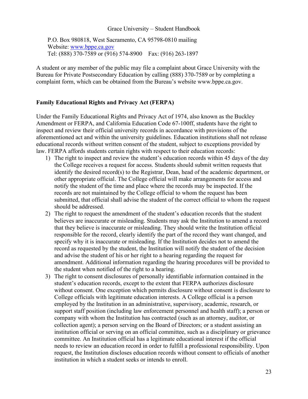P.O. Box 980818, West Sacramento, CA 95798-0810 mailing Website: [www.bppe.ca.gov](http://www.bppe.ca.gov/) Tel: (888) 370-7589 or (916) 574-8900 Fax: (916) 263-1897

A student or any member of the public may file a complaint about Grace University with the Bureau for Private Postsecondary Education by calling (888) 370-7589 or by completing a complaint form, which can be obtained from the Bureau's website [www.bppe.ca.gov.](http://www.bppe.ca.gov/)

#### <span id="page-23-0"></span>**Family Educational Rights and Privacy Act (FERPA)**

Under the Family Educational Rights and Privacy Act of 1974, also known as the Buckley Amendment or FERPA, and California Education Code 67-100ff, students have the right to inspect and review their official university records in accordance with provisions of the aforementioned act and within the university guidelines. Education institutions shall not release educational records without written consent of the student, subject to exceptions provided by law. FERPA affords students certain rights with respect to their education records:

- 1) The right to inspect and review the student's education records within 45 days of the day the College receives a request for access. Students should submit written requests that identify the desired record(s) to the Registrar, Dean, head of the academic department, or other appropriate official. The College official will make arrangements for access and notify the student of the time and place where the records may be inspected. If the records are not maintained by the College official to whom the request has been submitted, that official shall advise the student of the correct official to whom the request should be addressed.
- 2) The right to request the amendment of the student's education records that the student believes are inaccurate or misleading. Students may ask the Institution to amend a record that they believe is inaccurate or misleading. They should write the Institution official responsible for the record, clearly identify the part of the record they want changed, and specify why it is inaccurate or misleading. If the Institution decides not to amend the record as requested by the student, the Institution will notify the student of the decision and advise the student of his or her right to a hearing regarding the request for amendment. Additional information regarding the hearing procedures will be provided to the student when notified of the right to a hearing.
- 3) The right to consent disclosures of personally identifiable information contained in the student's education records, except to the extent that FERPA authorizes disclosure without consent. One exception which permits disclosure without consent is disclosure to College officials with legitimate education interests. A College official is a person employed by the Institution in an administrative, supervisory, academic, research, or support staff position (including law enforcement personnel and health staff); a person or company with whom the Institution has contracted (such as an attorney, auditor, or collection agent); a person serving on the Board of Directors; or a student assisting an institution official or serving on an official committee, such as a disciplinary or grievance committee. An Institution official has a legitimate educational interest if the official needs to review an education record in order to fulfill a professional responsibility. Upon request, the Institution discloses education records without consent to officials of another institution in which a student seeks or intends to enroll.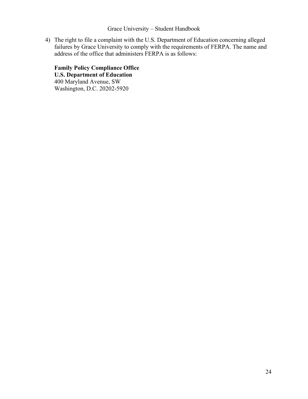4) The right to file a complaint with the U.S. Department of Education concerning alleged failures by Grace University to comply with the requirements of FERPA. The name and address of the office that administers FERPA is as follows:

**Family Policy Compliance Office U.S. Department of Education**  400 Maryland Avenue, SW Washington, D.C. 20202-5920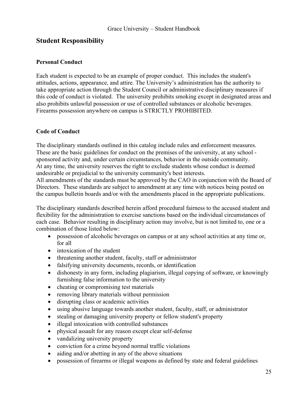## <span id="page-25-0"></span>**Student Responsibility**

#### <span id="page-25-1"></span>**Personal Conduct**

Each student is expected to be an example of proper conduct. This includes the student's attitudes, actions, appearance, and attire. The University's administration has the authority to take appropriate action through the Student Council or administrative disciplinary measures if this code of conduct is violated. The university prohibits smoking except in designated areas and also prohibits unlawful possession or use of controlled substances or alcoholic beverages. Firearms possession anywhere on campus is STRICTLY PROHIBITED.

#### <span id="page-25-2"></span>**Code of Conduct**

The disciplinary standards outlined in this catalog include rules and enforcement measures. These are the basic guidelines for conduct on the premises of the university, at any school sponsored activity and, under certain circumstances, behavior in the outside community. At any time, the university reserves the right to exclude students whose conduct is deemed undesirable or prejudicial to the university community's best interests.

All amendments of the standards must be approved by the CAO in conjunction with the Board of Directors. These standards are subject to amendment at any time with notices being posted on the campus bulletin boards and/or with the amendments placed in the appropriate publications.

The disciplinary standards described herein afford procedural fairness to the accused student and flexibility for the administration to exercise sanctions based on the individual circumstances of each case. Behavior resulting in disciplinary action may involve, but is not limited to, one or a combination of those listed below:

- possession of alcoholic beverages on campus or at any school activities at any time or, for all
- intoxication of the student
- threatening another student, faculty, staff or administrator
- falsifying university documents, records, or identification
- dishonesty in any form, including plagiarism, illegal copying of software, or knowingly furnishing false information to the university
- cheating or compromising test materials
- removing library materials without permission
- disrupting class or academic activities
- using abusive language towards another student, faculty, staff, or administrator
- stealing or damaging university property or fellow student's property
- illegal intoxication with controlled substances
- physical assault for any reason except clear self-defense
- vandalizing university property
- conviction for a crime beyond normal traffic violations
- aiding and/or abetting in any of the above situations
- possession of firearms or illegal weapons as defined by state and federal guidelines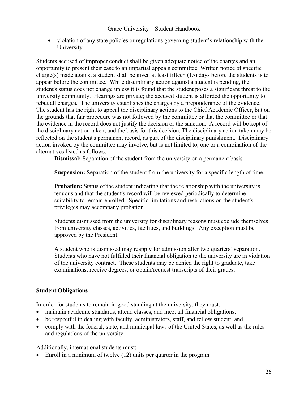• violation of any state policies or regulations governing student's relationship with the University

Students accused of improper conduct shall be given adequate notice of the charges and an opportunity to present their case to an impartial appeals committee. Written notice of specific charge(s) made against a student shall be given at least fifteen (15) days before the students is to appear before the committee. While disciplinary action against a student is pending, the student's status does not change unless it is found that the student poses a significant threat to the university community. Hearings are private; the accused student is afforded the opportunity to rebut all charges. The university establishes the charges by a preponderance of the evidence. The student has the right to appeal the disciplinary actions to the Chief Academic Officer, but on the grounds that fair procedure was not followed by the committee or that the committee or that the evidence in the record does not justify the decision or the sanction. A record will be kept of the disciplinary action taken, and the basis for this decision. The disciplinary action taken may be reflected on the student's permanent record, as part of the disciplinary punishment. Disciplinary action invoked by the committee may involve, but is not limited to, one or a combination of the alternatives listed as follows:

**Dismissal:** Separation of the student from the university on a permanent basis.

**Suspension:** Separation of the student from the university for a specific length of time.

**Probation:** Status of the student indicating that the relationship with the university is tenuous and that the student's record will be reviewed periodically to determine suitability to remain enrolled. Specific limitations and restrictions on the student's privileges may accompany probation.

Students dismissed from the university for disciplinary reasons must exclude themselves from university classes, activities, facilities, and buildings. Any exception must be approved by the President.

A student who is dismissed may reapply for admission after two quarters' separation. Students who have not fulfilled their financial obligation to the university are in violation of the university contract. These students may be denied the right to graduate, take examinations, receive degrees, or obtain/request transcripts of their grades.

#### <span id="page-26-0"></span>**Student Obligations**

In order for students to remain in good standing at the university, they must:

- maintain academic standards, attend classes, and meet all financial obligations;
- be respectful in dealing with faculty, administrators, staff, and fellow student; and
- comply with the federal, state, and municipal laws of the United States, as well as the rules and regulations of the university.

Additionally, international students must:

• Enroll in a minimum of twelve (12) units per quarter in the program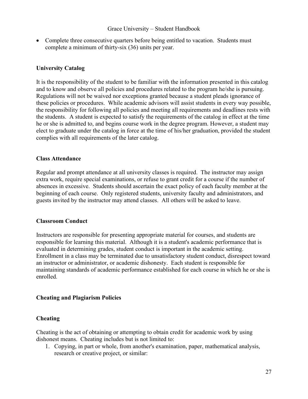• Complete three consecutive quarters before being entitled to vacation. Students must complete a minimum of thirty-six (36) units per year.

#### **University Catalog**

It is the responsibility of the student to be familiar with the information presented in this catalog and to know and observe all policies and procedures related to the program he/she is pursuing. Regulations will not be waived nor exceptions granted because a student pleads ignorance of these policies or procedures. While academic advisors will assist students in every way possible, the responsibility for following all policies and meeting all requirements and deadlines rests with the students. A student is expected to satisfy the requirements of the catalog in effect at the time he or she is admitted to, and begins course work in the degree program. However, a student may elect to graduate under the catalog in force at the time of his/her graduation, provided the student complies with all requirements of the later catalog.

#### **Class Attendance**

Regular and prompt attendance at all university classes is required. The instructor may assign extra work, require special examinations, or refuse to grant credit for a course if the number of absences in excessive. Students should ascertain the exact policy of each faculty member at the beginning of each course. Only registered students, university faculty and administrators, and guests invited by the instructor may attend classes. All others will be asked to leave.

#### **Classroom Conduct**

Instructors are responsible for presenting appropriate material for courses, and students are responsible for learning this material. Although it is a student's academic performance that is evaluated in determining grades, student conduct is important in the academic setting. Enrollment in a class may be terminated due to unsatisfactory student conduct, disrespect toward an instructor or administrator, or academic dishonesty. Each student is responsible for maintaining standards of academic performance established for each course in which he or she is enrolled.

#### <span id="page-27-0"></span>**Cheating and Plagiarism Policies**

#### **Cheating**

Cheating is the act of obtaining or attempting to obtain credit for academic work by using dishonest means. Cheating includes but is not limited to:

1. Copying, in part or whole, from another's examination, paper, mathematical analysis, research or creative project, or similar: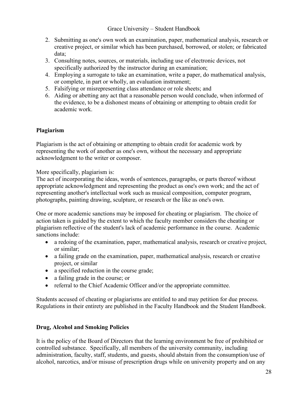- 2. Submitting as one's own work an examination, paper, mathematical analysis, research or creative project, or similar which has been purchased, borrowed, or stolen; or fabricated data;
- 3. Consulting notes, sources, or materials, including use of electronic devices, not specifically authorized by the instructor during an examination;
- 4. Employing a surrogate to take an examination, write a paper, do mathematical analysis, or complete, in part or wholly, an evaluation instrument;
- 5. Falsifying or misrepresenting class attendance or role sheets; and
- 6. Aiding or abetting any act that a reasonable person would conclude, when informed of the evidence, to be a dishonest means of obtaining or attempting to obtain credit for academic work.

#### **Plagiarism**

Plagiarism is the act of obtaining or attempting to obtain credit for academic work by representing the work of another as one's own, without the necessary and appropriate acknowledgment to the writer or composer.

More specifically, plagiarism is:

The act of incorporating the ideas, words of sentences, paragraphs, or parts thereof without appropriate acknowledgment and representing the product as one's own work; and the act of representing another's intellectual work such as musical composition, computer program, photographs, painting drawing, sculpture, or research or the like as one's own.

One or more academic sanctions may be imposed for cheating or plagiarism. The choice of action taken is guided by the extent to which the faculty member considers the cheating or plagiarism reflective of the student's lack of academic performance in the course. Academic sanctions include:

- a redoing of the examination, paper, mathematical analysis, research or creative project, or similar;
- a failing grade on the examination, paper, mathematical analysis, research or creative project, or similar
- a specified reduction in the course grade;
- a failing grade in the course; or
- referral to the Chief Academic Officer and/or the appropriate committee.

Students accused of cheating or plagiarisms are entitled to and may petition for due process. Regulations in their entirety are published in the Faculty Handbook and the Student Handbook.

#### <span id="page-28-0"></span>**Drug, Alcohol and Smoking Policies**

It is the policy of the Board of Directors that the learning environment be free of prohibited or controlled substance. Specifically, all members of the university community, including administration, faculty, staff, students, and guests, should abstain from the consumption/use of alcohol, narcotics, and/or misuse of prescription drugs while on university property and on any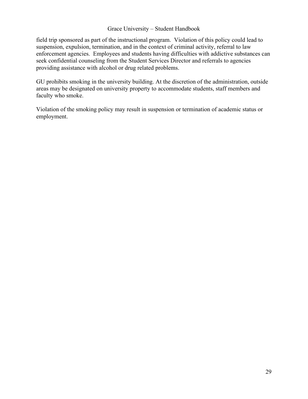field trip sponsored as part of the instructional program. Violation of this policy could lead to suspension, expulsion, termination, and in the context of criminal activity, referral to law enforcement agencies. Employees and students having difficulties with addictive substances can seek confidential counseling from the Student Services Director and referrals to agencies providing assistance with alcohol or drug related problems.

GU prohibits smoking in the university building. At the discretion of the administration, outside areas may be designated on university property to accommodate students, staff members and faculty who smoke.

Violation of the smoking policy may result in suspension or termination of academic status or employment.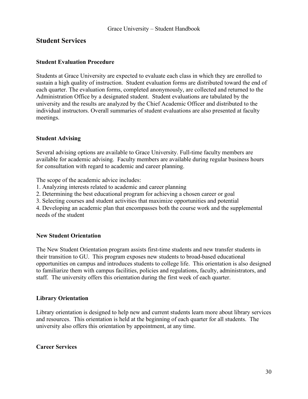## <span id="page-30-0"></span>**Student Services**

#### <span id="page-30-1"></span>**Student Evaluation Procedure**

Students at Grace University are expected to evaluate each class in which they are enrolled to sustain a high quality of instruction. Student evaluation forms are distributed toward the end of each quarter. The evaluation forms, completed anonymously, are collected and returned to the Administration Office by a designated student. Student evaluations are tabulated by the university and the results are analyzed by the Chief Academic Officer and distributed to the individual instructors. Overall summaries of student evaluations are also presented at faculty meetings.

#### <span id="page-30-2"></span>**Student Advising**

Several advising options are available to Grace University. Full-time faculty members are available for academic advising. Faculty members are available during regular business hours for consultation with regard to academic and career planning.

The scope of the academic advice includes:

- 1. Analyzing interests related to academic and career planning
- 2. Determining the best educational program for achieving a chosen career or goal
- 3. Selecting courses and student activities that maximize opportunities and potential

4. Developing an academic plan that encompasses both the course work and the supplemental needs of the student

#### <span id="page-30-3"></span>**New Student Orientation**

The New Student Orientation program assists first-time students and new transfer students in their transition to GU. This program exposes new students to broad-based educational opportunities on campus and introduces students to college life. This orientation is also designed to familiarize them with campus facilities, policies and regulations, faculty, administrators, and staff. The university offers this orientation during the first week of each quarter.

#### <span id="page-30-4"></span>**Library Orientation**

Library orientation is designed to help new and current students learn more about library services and resources. This orientation is held at the beginning of each quarter for all students. The university also offers this orientation by appointment, at any time.

#### <span id="page-30-5"></span>**Career Services**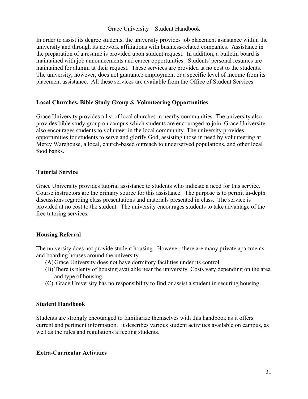In order to assist its degree students, the university provides job placement assistance within the university and through its network affiliations with business-related companies. Assistance in the preparation of a resume is provided upon student request. In addition, a bulletin board is maintained with job announcements and career opportunities. Students' personal resumes are maintained for alumni at their request. These services are provided at no cost to the students. The university, however, does not guarantee employment or a specific level of income from its placement assistance. All these services are available from the Office of Student Services.

#### <span id="page-31-0"></span>**Local Churches, Bible Study Group & Volunteering Opportunities**

Grace University provides a list of local churches in nearby communities. The university also provides bible study group on campus which students are encouraged to join. Grace University also encourages students to volunteer in the local community. The university provides opportunities for students to serve and glorify God, assisting those in need by volunteering at Mercy Warehouse, a local, church-based outreach to underserved populations, and other local food banks.

#### <span id="page-31-1"></span>**Tutorial Service**

Grace University provides tutorial assistance to students who indicate a need for this service. Course instructors are the primary source for this assistance. The purpose is to permit in-depth discussions regarding class presentations and materials presented in class. The service is provided at no cost to the student. The university encourages students to take advantage of the free tutoring services.

#### <span id="page-31-2"></span>**Housing Referral**

The university does not provide student housing. However, there are many private apartments and boarding houses around the university.

- (A)Grace University does not have dormitory facilities under its control.
- (B) There is plenty of housing available near the university. Costs vary depending on the area and type of housing.
- (C) Grace University has no responsibility to find or assist a student in securing housing.

#### <span id="page-31-3"></span>**Student Handbook**

Students are strongly encouraged to familiarize themselves with this handbook as it offers current and pertinent information. It describes various student activities available on campus, as well as the rules and regulations affecting students.

#### <span id="page-31-4"></span>**Extra-Curricular Activities**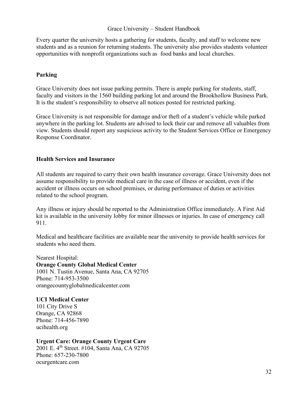Every quarter the university hosts a gathering for students, faculty, and staff to welcome new students and as a reunion for returning students. The university also provides students volunteer opportunities with nonprofit organizations such as food banks and local churches.

#### <span id="page-32-0"></span>**Parking**

Grace University does not issue parking permits. There is ample parking for students, staff, faculty and visitors in the 1560 building parking lot and around the Brookhollow Business Park. It is the student's responsibility to observe all notices posted for restricted parking.

Grace University is not responsible for damage and/or theft of a student's vehicle while parked anywhere in the parking lot. Students are advised to lock their car and remove all valuables from view. Students should report any suspicious activity to the Student Services Office or Emergency Response Coordinator.

#### <span id="page-32-1"></span>**Health Services and Insurance**

All students are required to carry their own health insurance coverage. Grace University does not assume responsibility to provide medical care in the case of illness or accident, even if the accident or illness occurs on school premises, or during performance of duties or activities related to the school program.

Any illness or injury should be reported to the Administration Office immediately. A First Aid kit is available in the university lobby for minor illnesses or injuries. In case of emergency call 911.

Medical and healthcare facilities are available near the university to provide health services for students who need them.

Nearest Hospital: **Orange County Global Medical Center** 1001 N. Tustin Avenue, Santa Ana, CA 92705 Phone: 714-953-3500 orangecountyglobalmedicalcenter.com

**UCI Medical Center** 101 City Drive S Orange, CA 92868 Phone: 714-456-7890 ucihealth.org

**Urgent Care: Orange County Urgent Care** 2001 E. 4<sup>th</sup> Street. #104, Santa Ana, CA 92705 Phone: 657-230-7800 ocurgentcare.com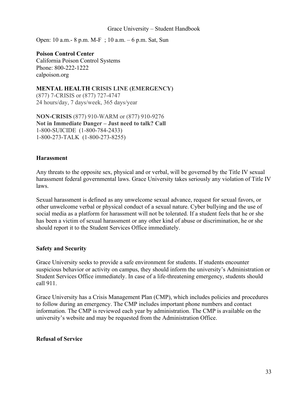Open: 10 a.m.- 8 p.m. M-F ; 10 a.m. – 6 p.m. Sat, Sun

## **Poison Control Center**

California Poison Control Systems Phone: 800-222-1222 calpoison.org

**MENTAL HEALTH CRISIS LINE (EMERGENCY)** (877) 7-CRISIS or (877) 727-4747 24 hours/day, 7 days/week, 365 days/year

**NON-CRISIS** (877) 910-WARM or (877) 910-9276 **Not in Immediate Danger – Just need to talk? Call** 1-800-SUICIDE (1-800-784-2433) 1-800-273-TALK (1-800-273-8255)

#### <span id="page-33-0"></span>**Harassment**

Any threats to the opposite sex, physical and or verbal, will be governed by the Title IV sexual harassment federal governmental laws. Grace University takes seriously any violation of Title IV laws.

Sexual harassment is defined as any unwelcome sexual advance, request for sexual favors, or other unwelcome verbal or physical conduct of a sexual nature. Cyber bullying and the use of social media as a platform for harassment will not be tolerated. If a student feels that he or she has been a victim of sexual harassment or any other kind of abuse or discrimination, he or she should report it to the Student Services Office immediately.

#### <span id="page-33-1"></span>**Safety and Security**

Grace University seeks to provide a safe environment for students. If students encounter suspicious behavior or activity on campus, they should inform the university's Administration or Student Services Office immediately. In case of a life-threatening emergency, students should call 911.

Grace University has a Crisis Management Plan (CMP), which includes policies and procedures to follow during an emergency. The CMP includes important phone numbers and contact information. The CMP is reviewed each year by administration. The CMP is available on the university's website and may be requested from the Administration Office.

#### <span id="page-33-2"></span>**Refusal of Service**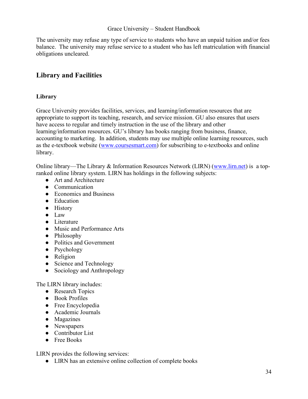The university may refuse any type of service to students who have an unpaid tuition and/or fees balance. The university may refuse service to a student who has left matriculation with financial obligations uncleared.

## <span id="page-34-0"></span>**Library and Facilities**

#### **Library**

Grace University provides facilities, services, and learning/information resources that are appropriate to support its teaching, research, and service mission. GU also ensures that users have access to regular and timely instruction in the use of the library and other learning/information resources. GU's library has books ranging from business, finance, accounting to marketing. In addition, students may use multiple online learning resources, such as the e-textbook website [\(www.coursesmart.com\)](http://www.coursesmart.com/) for subscribing to e-textbooks and online library.

Online library—The Library & Information Resources Network (LIRN) [\(www.lirn.net\)](http://www.lirn.net/) is a topranked online library system. LIRN has holdings in the following subjects:

- Art and Architecture
- Communication
- Economics and Business
- Education
- History
- Law
- Literature
- Music and Performance Arts
- Philosophy
- Politics and Government
- Psychology
- Religion
- Science and Technology
- Sociology and Anthropology

The LIRN library includes:

- Research Topics
- Book Profiles
- Free Encyclopedia
- Academic Journals
- Magazines
- Newspapers
- Contributor List
- Free Books

LIRN provides the following services:

● LIRN has an extensive online collection of complete books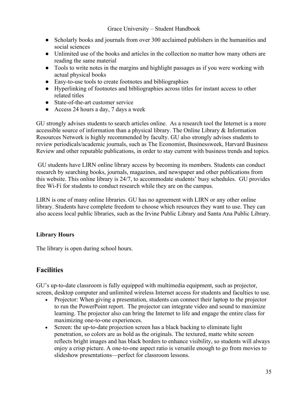- Scholarly books and journals from over 300 acclaimed publishers in the humanities and social sciences
- Unlimited use of the books and articles in the collection no matter how many others are reading the same material
- Tools to write notes in the margins and highlight passages as if you were working with actual physical books
- Easy-to-use tools to create footnotes and bibliographies
- Hyperlinking of footnotes and bibliographies across titles for instant access to other related titles
- State-of-the-art customer service
- Access 24 hours a day, 7 days a week

GU strongly advises students to search articles online. As a research tool the Internet is a more accessible source of information than a physical library. The Online Library & Information Resources Network is highly recommended by faculty. GU also strongly advises students to review periodicals/academic journals, such as The Economist, Businessweek, Harvard Business Review and other reputable publications, in order to stay current with business trends and topics.

GU students have LIRN online library access by becoming its members. Students can conduct research by searching books, journals, magazines, and newspaper and other publications from this website. This online library is 24/7, to accommodate students' busy schedules. GU provides free Wi-Fi for students to conduct research while they are on the campus.

LIRN is one of many online libraries. GU has no agreement with LIRN or any other online library. Students have complete freedom to choose which resources they want to use. They can also access local public libraries, such as the Irvine Public Library and Santa Ana Public Library.

## **Library Hours**

The library is open during school hours.

## **Facilities**

GU's up-to-date classroom is fully equipped with multimedia equipment, such as projector, screen, desktop computer and unlimited wireless Internet access for students and faculties to use.

- Projector: When giving a presentation, students can connect their laptop to the projector to run the PowerPoint report. The projector can integrate video and sound to maximize learning. The projector also can bring the Internet to life and engage the entire class for maximizing one-to-one experiences.
- Screen: the up-to-date projection screen has a black backing to eliminate light penetration, so colors are as bold as the originals. The textured, matte white screen reflects bright images and has black borders to enhance visibility, so students will always enjoy a crisp picture. A one-to-one aspect ratio is versatile enough to go from movies to slideshow presentations—perfect for classroom lessons.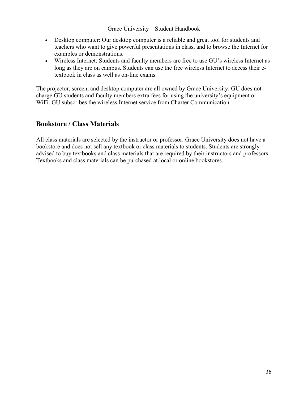- Desktop computer: Our desktop computer is a reliable and great tool for students and teachers who want to give powerful presentations in class, and to browse the Internet for examples or demonstrations.
- Wireless Internet: Students and faculty members are free to use GU's wireless Internet as long as they are on campus. Students can use the free wireless Internet to access their etextbook in class as well as on-line exams.

The projector, screen, and desktop computer are all owned by Grace University. GU does not charge GU students and faculty members extra fees for using the university's equipment or W<sub>iFi.</sub> GU subscribes the wireless Internet service from Charter Communication.

## **Bookstore / Class Materials**

All class materials are selected by the instructor or professor. Grace University does not have a bookstore and does not sell any textbook or class materials to students. Students are strongly advised to buy textbooks and class materials that are required by their instructors and professors. Textbooks and class materials can be purchased at local or online bookstores.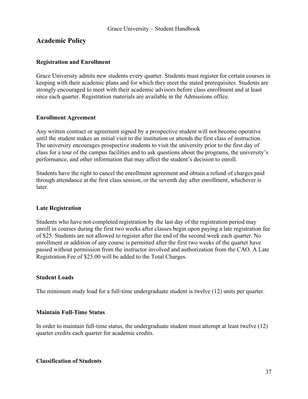## <span id="page-37-0"></span>**Academic Policy**

#### <span id="page-37-1"></span>**Registration and Enrollment**

Grace University admits new students every quarter. Students must register for certain courses in keeping with their academic plans and for which they meet the stated prerequisites. Students are strongly encouraged to meet with their academic advisors before class enrollment and at least once each quarter. Registration materials are available in the Admissions office.

#### **Enrollment Agreement**

Any written contract or agreement signed by a prospective student will not become operative until the student makes an initial visit to the institution or attends the first class of instruction. The university encourages prospective students to visit the university prior to the first day of class for a tour of the campus facilities and to ask questions about the programs, the university's performance, and other information that may affect the student's decision to enroll.

Students have the right to cancel the enrollment agreement and obtain a refund of charges paid through attendance at the first class session, or the seventh day after enrollment, whichever is later.

#### **Late Registration**

Students who have not completed registration by the last day of the registration period may enroll in courses during the first two weeks after classes begin upon paying a late registration fee of \$25. Students are not allowed to register after the end of the second week each quarter. No enrollment or addition of any course is permitted after the first two weeks of the quarter have passed without permission from the instructor involved and authorization from the CAO. A Late Registration Fee of \$25.00 will be added to the Total Charges.

#### **Student Loads**

The minimum study load for a full-time undergraduate student is twelve (12) units per quarter.

#### **Maintain Full-Time Status**

In order to maintain full-time status, the undergraduate student must attempt at least twelve (12) quarter credits each quarter for academic credits.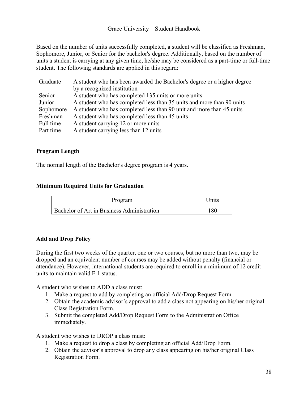Based on the number of units successfully completed, a student will be classified as Freshman, Sophomore, Junior, or Senior for the bachelor's degree. Additionally, based on the number of units a student is carrying at any given time, he/she may be considered as a part-time or full-time student. The following standards are applied in this regard:

| Graduate  | A student who has been awarded the Bachelor's degree or a higher degree |
|-----------|-------------------------------------------------------------------------|
|           | by a recognized institution                                             |
| Senior    | A student who has completed 135 units or more units                     |
| Junior    | A student who has completed less than 35 units and more than 90 units   |
| Sophomore | A student who has completed less than 90 unit and more than 45 units    |
| Freshman  | A student who has completed less than 45 units                          |
| Full time | A student carrying 12 or more units                                     |
| Part time | A student carrying less than 12 units                                   |

#### **Program Length**

The normal length of the Bachelor's degree program is 4 years.

#### **Minimum Required Units for Graduation**

| Program                                    | <b>Inits</b> |
|--------------------------------------------|--------------|
| Bachelor of Art in Business Administration | 180          |

#### <span id="page-38-0"></span>**Add and Drop Policy**

During the first two weeks of the quarter, one or two courses, but no more than two, may be dropped and an equivalent number of courses may be added without penalty (financial or attendance). However, international students are required to enroll in a minimum of 12 credit units to maintain valid F-1 status.

A student who wishes to ADD a class must:

- 1. Make a request to add by completing an official Add/Drop Request Form.
- 2. Obtain the academic advisor's approval to add a class not appearing on his/her original Class Registration Form.
- 3. Submit the completed Add/Drop Request Form to the Administration Office immediately.

A student who wishes to DROP a class must:

- 1. Make a request to drop a class by completing an official Add/Drop Form.
- 2. Obtain the advisor's approval to drop any class appearing on his/her original Class Registration Form.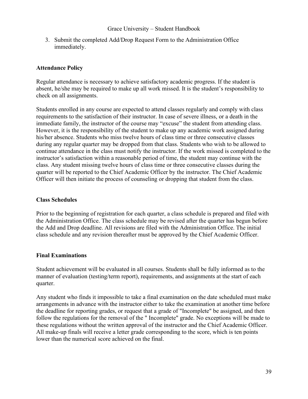3. Submit the completed Add/Drop Request Form to the Administration Office immediately.

#### <span id="page-39-0"></span>**Attendance Policy**

Regular attendance is necessary to achieve satisfactory academic progress. If the student is absent, he/she may be required to make up all work missed. It is the student's responsibility to check on all assignments.

Students enrolled in any course are expected to attend classes regularly and comply with class requirements to the satisfaction of their instructor. In case of severe illness, or a death in the immediate family, the instructor of the course may "excuse" the student from attending class. However, it is the responsibility of the student to make up any academic work assigned during his/her absence. Students who miss twelve hours of class time or three consecutive classes during any regular quarter may be dropped from that class. Students who wish to be allowed to continue attendance in the class must notify the instructor. If the work missed is completed to the instructor's satisfaction within a reasonable period of time, the student may continue with the class. Any student missing twelve hours of class time or three consecutive classes during the quarter will be reported to the Chief Academic Officer by the instructor. The Chief Academic Officer will then initiate the process of counseling or dropping that student from the class.

#### **Class Schedules**

Prior to the beginning of registration for each quarter, a class schedule is prepared and filed with the Administration Office. The class schedule may be revised after the quarter has begun before the Add and Drop deadline. All revisions are filed with the Administration Office. The initial class schedule and any revision thereafter must be approved by the Chief Academic Officer.

#### **Final Examinations**

Student achievement will be evaluated in all courses. Students shall be fully informed as to the manner of evaluation (testing/term report), requirements, and assignments at the start of each quarter.

Any student who finds it impossible to take a final examination on the date scheduled must make arrangements in advance with the instructor either to take the examination at another time before the deadline for reporting grades, or request that a grade of "Incomplete" be assigned, and then follow the regulations for the removal of the " Incomplete" grade. No exceptions will be made to these regulations without the written approval of the instructor and the Chief Academic Officer. All make-up finals will receive a letter grade corresponding to the score, which is ten points lower than the numerical score achieved on the final.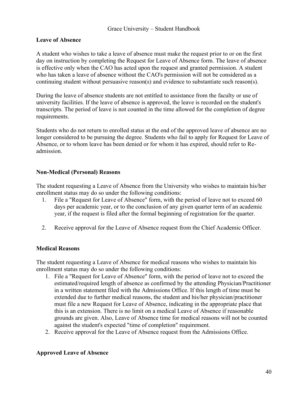#### <span id="page-40-0"></span>**Leave of Absence**

A student who wishes to take a leave of absence must make the request prior to or on the first day on instruction by completing the Request for Leave of Absence form. The leave of absence is effective only when the CAO has acted upon the request and granted permission. A student who has taken a leave of absence without the CAO's permission will not be considered as a continuing student without persuasive reason(s) and evidence to substantiate such reason(s).

During the leave of absence students are not entitled to assistance from the faculty or use of university facilities. If the leave of absence is approved, the leave is recorded on the student's transcripts. The period of leave is not counted in the time allowed for the completion of degree requirements.

Students who do not return to enrolled status at the end of the approved leave of absence are no longer considered to be pursuing the degree. Students who fail to apply for Request for Leave of Absence, or to whom leave has been denied or for whom it has expired, should refer to Readmission.

#### **Non-Medical (Personal) Reasons**

The student requesting a Leave of Absence from the University who wishes to maintain his/her enrollment status may do so under the following conditions:

- 1. File a "Request for Leave of Absence" form, with the period of leave not to exceed 60 days per academic year, or to the conclusion of any given quarter term of an academic year, if the request is filed after the formal beginning of registration for the quarter.
- 2. Receive approval for the Leave of Absence request from the Chief Academic Officer.

#### **Medical Reasons**

The student requesting a Leave of Absence for medical reasons who wishes to maintain his enrollment status may do so under the following conditions:

- 1. File a "Request for Leave of Absence" form, with the period of leave not to exceed the estimated/required length of absence as confirmed by the attending Physician/Practitioner in a written statement filed with the Admissions Office. If this length of time must be extended due to further medical reasons, the student and his/her physician/practitioner must file a new Request for Leave of Absence, indicating in the appropriate place that this is an extension. There is no limit on a medical Leave of Absence if reasonable grounds are given. Also, Leave of Absence time for medical reasons will not be counted against the student's expected "time of completion" requirement.
- 2. Receive approval for the Leave of Absence request from the Admissions Office.

#### **Approved Leave of Absence**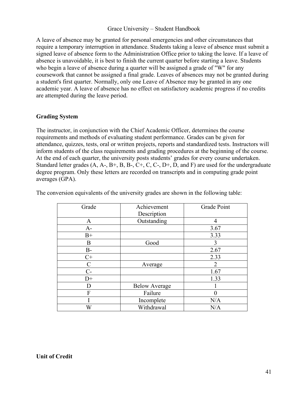A leave of absence may be granted for personal emergencies and other circumstances that require a temporary interruption in attendance. Students taking a leave of absence must submit a signed leave of absence form to the Administration Office prior to taking the leave. If a leave of absence is unavoidable, it is best to finish the current quarter before starting a leave. Students who begin a leave of absence during a quarter will be assigned a grade of "W" for any coursework that cannot be assigned a final grade. Leaves of absences may not be granted during a student's first quarter. Normally, only one Leave of Absence may be granted in any one academic year. A leave of absence has no effect on satisfactory academic progress if no credits are attempted during the leave period.

#### <span id="page-41-0"></span>**Grading System**

The instructor, in conjunction with the Chief Academic Officer, determines the course requirements and methods of evaluating student performance. Grades can be given for attendance, quizzes, tests, oral or written projects, reports and standardized tests. Instructors will inform students of the class requirements and grading procedures at the beginning of the course. At the end of each quarter, the university posts students' grades for every course undertaken. Standard letter grades (A, A-, B+, B, B-, C+, C, C-, D+, D, and F) are used for the undergraduate degree program. Only these letters are recorded on transcripts and in computing grade point averages (GPA).

| Grade        | Achievement          | Grade Point    |
|--------------|----------------------|----------------|
|              | Description          |                |
| $\mathbf{A}$ | Outstanding          | 4              |
| $A-$         |                      | 3.67           |
| $B+$         |                      | 3.33           |
| B            | Good                 | 3              |
| $B -$        |                      | 2.67           |
| $C+$         |                      | 2.33           |
| $\mathbf C$  | Average              | $\overline{2}$ |
| $C-$         |                      | 1.67           |
| $D+$         |                      | 1.33           |
| D            | <b>Below Average</b> |                |
| F            | Failure              |                |
|              | Incomplete           | N/A            |
| W            | Withdrawal           | N/A            |

The conversion equivalents of the university grades are shown in the following table: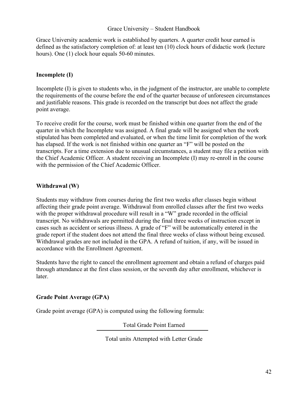Grace University academic work is established by quarters. A quarter credit hour earned is defined as the satisfactory completion of: at least ten (10) clock hours of didactic work (lecture hours). One (1) clock hour equals 50-60 minutes.

#### **Incomplete (I)**

Incomplete (I) is given to students who, in the judgment of the instructor, are unable to complete the requirements of the course before the end of the quarter because of unforeseen circumstances and justifiable reasons. This grade is recorded on the transcript but does not affect the grade point average.

To receive credit for the course, work must be finished within one quarter from the end of the quarter in which the Incomplete was assigned. A final grade will be assigned when the work stipulated has been completed and evaluated, or when the time limit for completion of the work has elapsed. If the work is not finished within one quarter an "F" will be posted on the transcripts. For a time extension due to unusual circumstances, a student may file a petition with the Chief Academic Officer. A student receiving an Incomplete (I) may re-enroll in the course with the permission of the Chief Academic Officer.

#### **Withdrawal (W)**

Students may withdraw from courses during the first two weeks after classes begin without affecting their grade point average. Withdrawal from enrolled classes after the first two weeks with the proper withdrawal procedure will result in a "W" grade recorded in the official transcript. No withdrawals are permitted during the final three weeks of instruction except in cases such as accident or serious illness. A grade of "F" will be automatically entered in the grade report if the student does not attend the final three weeks of class without being excused. Withdrawal grades are not included in the GPA. A refund of tuition, if any, will be issued in accordance with the Enrollment Agreement.

Students have the right to cancel the enrollment agreement and obtain a refund of charges paid through attendance at the first class session, or the seventh day after enrollment, whichever is later.

## **Grade Point Average (GPA)**

Grade point average (GPA) is computed using the following formula:

Total Grade Point Earned

Total units Attempted with Letter Grade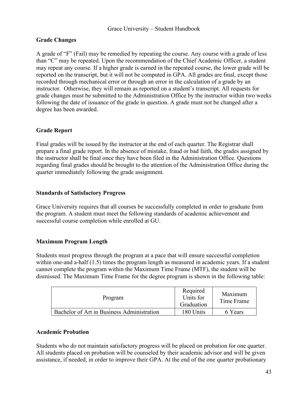#### **Grade Changes**

A grade of "F" (Fail) may be remedied by repeating the course. Any course with a grade of less than "C" may be repeated. Upon the recommendation of the Chief Academic Officer, a student may repeat any course. If a higher grade is earned in the repeated course, the lower grade will be reported on the transcript, but it will not be computed in GPA. All grades are final, except those recorded through mechanical error or through an error in the calculation of a grade by an instructor. Otherwise, they will remain as reported on a student's transcript. All requests for grade changes must be submitted to the Administration Office by the instructor within two weeks following the date of issuance of the grade in question. A grade must not be changed after a degree has been awarded.

#### **Grade Report**

Final grades will be issued by the instructor at the end of each quarter. The Registrar shall prepare a final grade report. In the absence of mistake, fraud or bad faith, the grades assigned by the instructor shall be final once they have been filed in the Administration Office. Questions regarding final grades should be brought to the attention of the Administration Office during the quarter immediately following the grade assignment.

#### **Standards of Satisfactory Progress**

Grace University requires that all courses be successfully completed in order to graduate from the program. A student must meet the following standards of academic achievement and successful course completion while enrolled at GU.

#### **Maximum Program Length**

Students must progress through the program at a pace that will ensure successful completion within one-and a-half (1.5) times the program length as measured in academic years. If a student cannot complete the program within the Maximum Time Frame (MTF), the student will be dismissed. The Maximum Time Frame for the degree program is shown in the following table:

| Program                                    | Required<br>Units for<br>Graduation | Maximum<br>Time Frame |
|--------------------------------------------|-------------------------------------|-----------------------|
| Bachelor of Art in Business Administration | 180 Units                           | 6 Years               |

#### <span id="page-43-0"></span>**Academic Probation**

Students who do not maintain satisfactory progress will be placed on probation for one quarter. All students placed on probation will be counseled by their academic advisor and will be given assistance, if needed, in order to improve their GPA. At the end of the one quarter probationary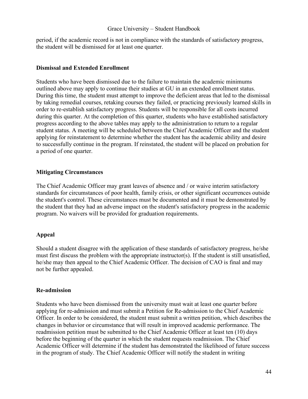period, if the academic record is not in compliance with the standards of satisfactory progress, the student will be dismissed for at least one quarter.

#### **Dismissal and Extended Enrollment**

Students who have been dismissed due to the failure to maintain the academic minimums outlined above may apply to continue their studies at GU in an extended enrollment status. During this time, the student must attempt to improve the deficient areas that led to the dismissal by taking remedial courses, retaking courses they failed, or practicing previously learned skills in order to re-establish satisfactory progress. Students will be responsible for all costs incurred during this quarter. At the completion of this quarter, students who have established satisfactory progress according to the above tables may apply to the administration to return to a regular student status. A meeting will be scheduled between the Chief Academic Officer and the student applying for reinstatement to determine whether the student has the academic ability and desire to successfully continue in the program. If reinstated, the student will be placed on probation for a period of one quarter.

#### **Mitigating Circumstances**

The Chief Academic Officer may grant leaves of absence and / or waive interim satisfactory standards for circumstances of poor health, family crisis, or other significant occurrences outside the student's control. These circumstances must be documented and it must be demonstrated by the student that they had an adverse impact on the student's satisfactory progress in the academic program. No waivers will be provided for graduation requirements.

#### **Appeal**

Should a student disagree with the application of these standards of satisfactory progress, he/she must first discuss the problem with the appropriate instructor(s). If the student is still unsatisfied, he/she may then appeal to the Chief Academic Officer. The decision of CAO is final and may not be further appealed.

#### **Re-admission**

Students who have been dismissed from the university must wait at least one quarter before applying for re-admission and must submit a Petition for Re-admission to the Chief Academic Officer. In order to be considered, the student must submit a written petition, which describes the changes in behavior or circumstance that will result in improved academic performance. The readmission petition must be submitted to the Chief Academic Officer at least ten (10) days before the beginning of the quarter in which the student requests readmission. The Chief Academic Officer will determine if the student has demonstrated the likelihood of future success in the program of study. The Chief Academic Officer will notify the student in writing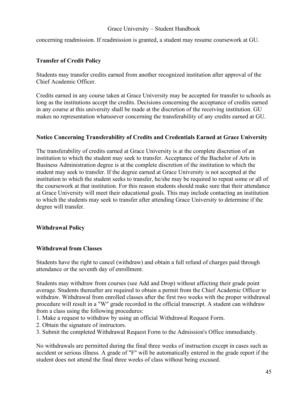concerning readmission. If readmission is granted, a student may resume coursework at GU.

#### <span id="page-45-0"></span>**Transfer of Credit Policy**

Students may transfer credits earned from another recognized institution after approval of the Chief Academic Officer.

Credits earned in any course taken at Grace University may be accepted for transfer to schools as long as the institutions accept the credits. Decisions concerning the acceptance of credits earned in any course at this university shall be made at the discretion of the receiving institution. GU makes no representation whatsoever concerning the transferability of any credits earned at GU.

#### <span id="page-45-1"></span>**Notice Concerning Transferability of Credits and Credentials Earned at Grace University**

The transferability of credits earned at Grace University is at the complete discretion of an institution to which the student may seek to transfer. Acceptance of the Bachelor of Arts in Business Administration degree is at the complete discretion of the institution to which the student may seek to transfer. If the degree earned at Grace University is not accepted at the institution to which the student seeks to transfer, he/she may be required to repeat some or all of the coursework at that institution. For this reason students should make sure that their attendance at Grace University will meet their educational goals. This may include contacting an institution to which the students may seek to transfer after attending Grace University to determine if the degree will transfer.

#### <span id="page-45-2"></span>**Withdrawal Policy**

#### **Withdrawal from Classes**

Students have the right to cancel (withdraw) and obtain a full refund of charges paid through attendance or the seventh day of enrollment.

Students may withdraw from courses (see Add and Drop) without affecting their grade point average. Students thereafter are required to obtain a permit from the Chief Academic Officer to withdraw. Withdrawal from enrolled classes after the first two weeks with the proper withdrawal procedure will result in a "W" grade recorded in the official transcript. A student can withdraw from a class using the following procedures:

- 1. Make a request to withdraw by using an official Withdrawal Request Form.
- 2. Obtain the signature of instructors.
- 3. Submit the completed Withdrawal Request Form to the Admission's Office immediately.

No withdrawals are permitted during the final three weeks of instruction except in cases such as accident or serious illness. A grade of "F" will be automatically entered in the grade report if the student does not attend the final three weeks of class without being excused.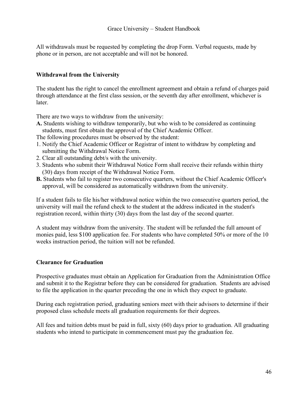All withdrawals must be requested by completing the drop Form. Verbal requests, made by phone or in person, are not acceptable and will not be honored.

#### **Withdrawal from the University**

The student has the right to cancel the enrollment agreement and obtain a refund of charges paid through attendance at the first class session, or the seventh day after enrollment, whichever is later.

There are two ways to withdraw from the university:

**A.** Students wishing to withdraw temporarily, but who wish to be considered as continuing students, must first obtain the approval of the Chief Academic Officer.

The following procedures must be observed by the student:

- 1. Notify the Chief Academic Officer or Registrar of intent to withdraw by completing and submitting the Withdrawal Notice Form.
- 2. Clear all outstanding debt/s with the university.
- 3. Students who submit their Withdrawal Notice Form shall receive their refunds within thirty (30) days from receipt of the Withdrawal Notice Form.
- **B.** Students who fail to register two consecutive quarters, without the Chief Academic Officer's approval, will be considered as automatically withdrawn from the university.

If a student fails to file his/her withdrawal notice within the two consecutive quarters period, the university will mail the refund check to the student at the address indicated in the student's registration record, within thirty (30) days from the last day of the second quarter.

A student may withdraw from the university. The student will be refunded the full amount of monies paid, less \$100 application fee. For students who have completed 50% or more of the 10 weeks instruction period, the tuition will not be refunded.

#### <span id="page-46-0"></span>**Clearance for Graduation**

Prospective graduates must obtain an Application for Graduation from the Administration Office and submit it to the Registrar before they can be considered for graduation. Students are advised to file the application in the quarter preceding the one in which they expect to graduate.

During each registration period, graduating seniors meet with their advisors to determine if their proposed class schedule meets all graduation requirements for their degrees.

All fees and tuition debts must be paid in full, sixty (60) days prior to graduation. All graduating students who intend to participate in commencement must pay the graduation fee.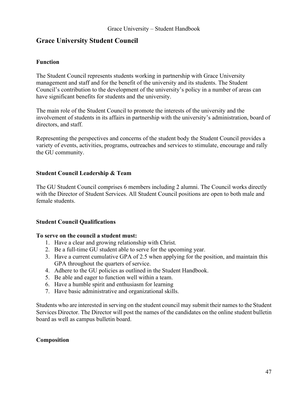## <span id="page-47-0"></span>**Grace University Student Council**

#### <span id="page-47-1"></span>**Function**

The Student Council represents students working in partnership with Grace University management and staff and for the benefit of the university and its students. The Student Council's contribution to the development of the university's policy in a number of areas can have significant benefits for students and the university.

The main role of the Student Council to promote the interests of the university and the involvement of students in its affairs in partnership with the university's administration, board of directors, and staff.

Representing the perspectives and concerns of the student body the Student Council provides a variety of events, activities, programs, outreaches and services to stimulate, encourage and rally the GU community.

#### <span id="page-47-2"></span>**Student Council Leadership & Team**

The GU Student Council comprises 6 members including 2 alumni. The Council works directly with the Director of Student Services. All Student Council positions are open to both male and female students.

#### <span id="page-47-3"></span>**Student Council Qualifications**

#### **To serve on the council a student must:**

- 1. Have a clear and growing relationship with Christ.
- 2. Be a full-time GU student able to serve for the upcoming year.
- 3. Have a current cumulative GPA of 2.5 when applying for the position, and maintain this GPA throughout the quarters of service.
- 4. Adhere to the GU policies as outlined in the Student Handbook.
- 5. Be able and eager to function well within a team.
- 6. Have a humble spirit and enthusiasm for learning
- 7. Have basic administrative and organizational skills.

Students who are interested in serving on the student council may submit their names to the Student Services Director. The Director will post the names of the candidates on the online student bulletin board as well as campus bulletin board.

#### <span id="page-47-4"></span>**Composition**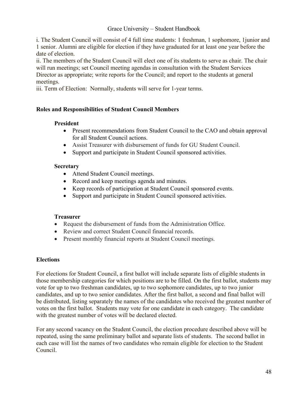i. The Student Council will consist of 4 full time students: 1 freshman, 1 sophomore, 1junior and 1 senior. Alumni are eligible for election if they have graduated for at least one year before the date of election.

ii. The members of the Student Council will elect one of its students to serve as chair. The chair will run meetings; set Council meeting agendas in consultation with the Student Services Director as appropriate; write reports for the Council; and report to the students at general meetings.

iii. Term of Election: Normally, students will serve for 1-year terms.

#### <span id="page-48-0"></span>**Roles and Responsibilities of Student Council Members**

#### **President**

- Present recommendations from Student Council to the CAO and obtain approval for all Student Council actions.
- Assist Treasurer with disbursement of funds for GU Student Council.
- Support and participate in Student Council sponsored activities.

#### **Secretary**

- Attend Student Council meetings.
- Record and keep meetings agenda and minutes.
- Keep records of participation at Student Council sponsored events.
- Support and participate in Student Council sponsored activities.

#### **Treasurer**

- Request the disbursement of funds from the Administration Office.
- Review and correct Student Council financial records.
- Present monthly financial reports at Student Council meetings.

#### <span id="page-48-1"></span>**Elections**

For elections for Student Council, a first ballot will include separate lists of eligible students in those membership categories for which positions are to be filled. On the first ballot, students may vote for up to two freshman candidates, up to two sophomore candidates, up to two junior candidates, and up to two senior candidates. After the first ballot, a second and final ballot will be distributed, listing separately the names of the candidates who received the greatest number of votes on the first ballot. Students may vote for one candidate in each category. The candidate with the greatest number of votes will be declared elected.

For any second vacancy on the Student Council, the election procedure described above will be repeated, using the same preliminary ballot and separate lists of students. The second ballot in each case will list the names of two candidates who remain eligible for election to the Student Council.